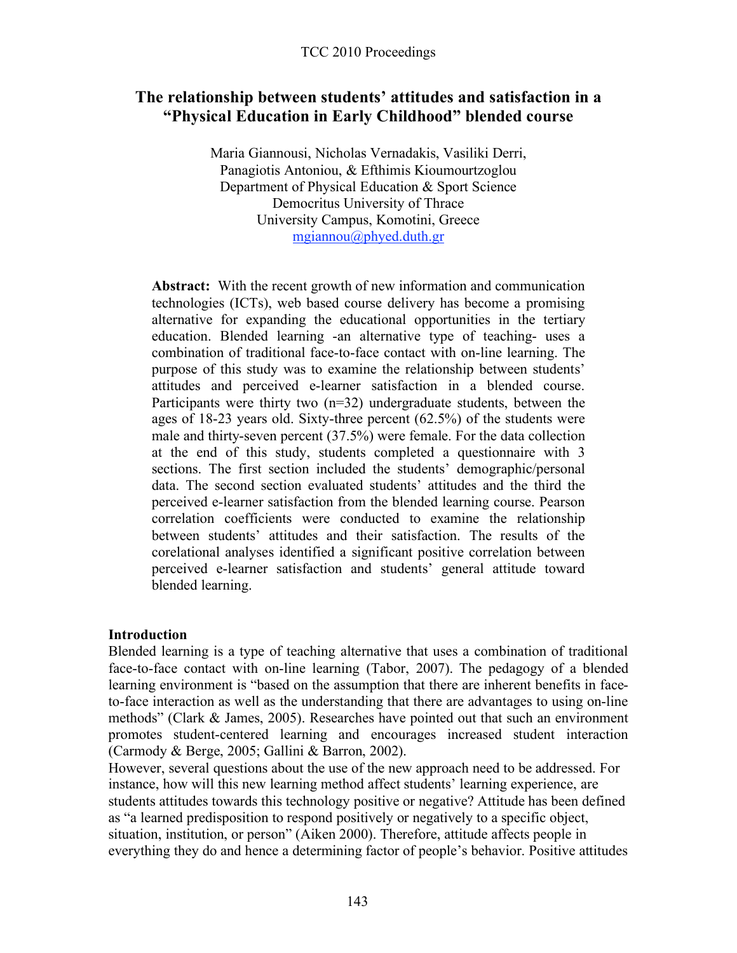# **The relationship between students' attitudes and satisfaction in a "Physical Education in Early Childhood" blended course**

Maria Giannousi, Nicholas Vernadakis, Vasiliki Derri, Panagiotis Antoniou, & Efthimis Kioumourtzoglou Department of Physical Education & Sport Science Democritus University of Thrace University Campus, Komotini, Greece mgiannou@phyed.duth.gr

**Abstract:** With the recent growth of new information and communication technologies (ICTs), web based course delivery has become a promising alternative for expanding the educational opportunities in the tertiary education. Blended learning -an alternative type of teaching- uses a combination of traditional face-to-face contact with on-line learning. The purpose of this study was to examine the relationship between students' attitudes and perceived e-learner satisfaction in a blended course. Participants were thirty two  $(n=32)$  undergraduate students, between the ages of 18-23 years old. Sixty-three percent (62.5%) of the students were male and thirty-seven percent (37.5%) were female. For the data collection at the end of this study, students completed a questionnaire with 3 sections. The first section included the students' demographic/personal data. The second section evaluated students' attitudes and the third the perceived e-learner satisfaction from the blended learning course. Pearson correlation coefficients were conducted to examine the relationship between students' attitudes and their satisfaction. The results of the corelational analyses identified a significant positive correlation between perceived e-learner satisfaction and students' general attitude toward blended learning.

### **Introduction**

Blended learning is a type of teaching alternative that uses a combination of traditional face-to-face contact with on-line learning (Tabor, 2007). The pedagogy of a blended learning environment is "based on the assumption that there are inherent benefits in faceto-face interaction as well as the understanding that there are advantages to using on-line methods" (Clark & James, 2005). Researches have pointed out that such an environment promotes student-centered learning and encourages increased student interaction (Carmody & Berge, 2005; Gallini & Barron, 2002).

However, several questions about the use of the new approach need to be addressed. For instance, how will this new learning method affect students' learning experience, are students attitudes towards this technology positive or negative? Attitude has been defined as "a learned predisposition to respond positively or negatively to a specific object, situation, institution, or person" (Aiken 2000). Therefore, attitude affects people in everything they do and hence a determining factor of people's behavior. Positive attitudes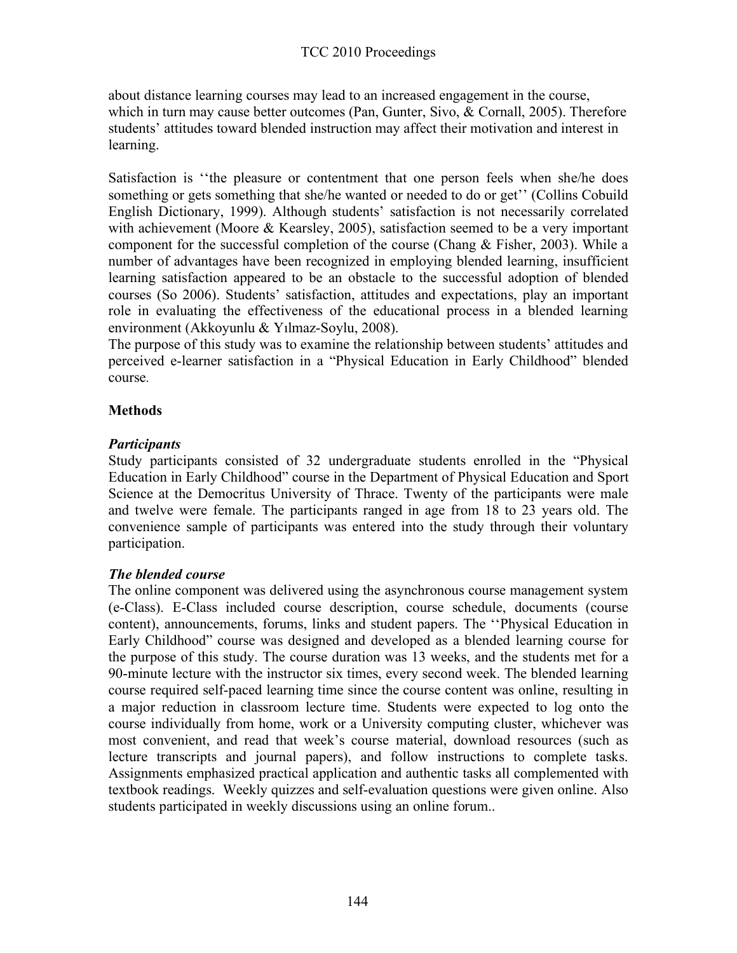about distance learning courses may lead to an increased engagement in the course, which in turn may cause better outcomes (Pan, Gunter, Sivo, & Cornall, 2005). Therefore students' attitudes toward blended instruction may affect their motivation and interest in learning.

Satisfaction is ''the pleasure or contentment that one person feels when she/he does something or gets something that she/he wanted or needed to do or get'' (Collins Cobuild English Dictionary, 1999). Although students' satisfaction is not necessarily correlated with achievement (Moore & Kearsley, 2005), satisfaction seemed to be a very important component for the successful completion of the course (Chang & Fisher, 2003). While a number of advantages have been recognized in employing blended learning, insufficient learning satisfaction appeared to be an obstacle to the successful adoption of blended courses (So 2006). Students' satisfaction, attitudes and expectations, play an important role in evaluating the effectiveness of the educational process in a blended learning environment (Akkoyunlu & Yılmaz-Soylu, 2008).

The purpose of this study was to examine the relationship between students' attitudes and perceived e-learner satisfaction in a "Physical Education in Early Childhood" blended course.

## **Methods**

### *Participants*

Study participants consisted of 32 undergraduate students enrolled in the "Physical Education in Early Childhood" course in the Department of Physical Education and Sport Science at the Democritus University of Thrace. Twenty of the participants were male and twelve were female. The participants ranged in age from 18 to 23 years old. The convenience sample of participants was entered into the study through their voluntary participation.

## *The blended course*

The online component was delivered using the asynchronous course management system (e-Class). E-Class included course description, course schedule, documents (course content), announcements, forums, links and student papers. The ''Physical Education in Early Childhood" course was designed and developed as a blended learning course for the purpose of this study. The course duration was 13 weeks, and the students met for a 90-minute lecture with the instructor six times, every second week. The blended learning course required self-paced learning time since the course content was online, resulting in a major reduction in classroom lecture time. Students were expected to log onto the course individually from home, work or a University computing cluster, whichever was most convenient, and read that week's course material, download resources (such as lecture transcripts and journal papers), and follow instructions to complete tasks. Assignments emphasized practical application and authentic tasks all complemented with textbook readings. Weekly quizzes and self-evaluation questions were given online. Also students participated in weekly discussions using an online forum..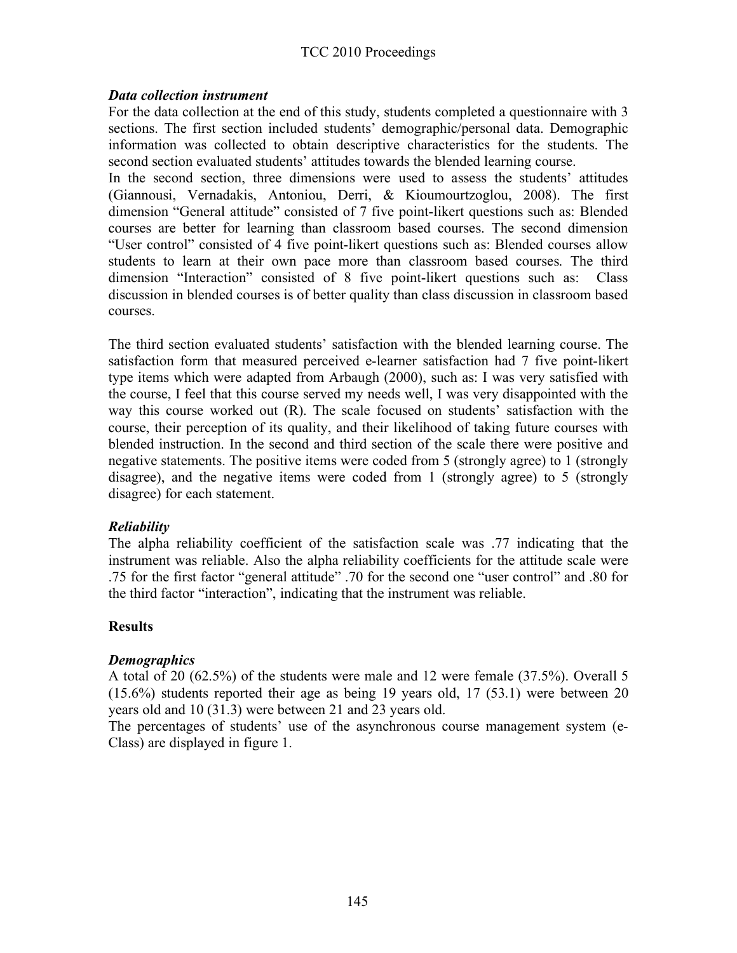### TCC 2010 Proceedings

#### *Data collection instrument*

For the data collection at the end of this study, students completed a questionnaire with 3 sections. The first section included students' demographic/personal data. Demographic information was collected to obtain descriptive characteristics for the students. The second section evaluated students' attitudes towards the blended learning course.

In the second section, three dimensions were used to assess the students' attitudes (Giannousi, Vernadakis, Antoniou, Derri, & Kioumourtzoglou, 2008). The first dimension "General attitude" consisted of 7 five point-likert questions such as: Blended courses are better for learning than classroom based courses. The second dimension "User control" consisted of 4 five point-likert questions such as: Blended courses allow students to learn at their own pace more than classroom based courses. The third dimension "Interaction" consisted of 8 five point-likert questions such as: Class discussion in blended courses is of better quality than class discussion in classroom based courses.

The third section evaluated students' satisfaction with the blended learning course. The satisfaction form that measured perceived e-learner satisfaction had 7 five point-likert type items which were adapted from Arbaugh (2000), such as: I was very satisfied with the course, I feel that this course served my needs well, I was very disappointed with the way this course worked out (R). The scale focused on students' satisfaction with the course, their perception of its quality, and their likelihood of taking future courses with blended instruction. In the second and third section of the scale there were positive and negative statements. The positive items were coded from 5 (strongly agree) to 1 (strongly disagree), and the negative items were coded from 1 (strongly agree) to 5 (strongly disagree) for each statement.

### *Reliability*

The alpha reliability coefficient of the satisfaction scale was .77 indicating that the instrument was reliable. Also the alpha reliability coefficients for the attitude scale were .75 for the first factor "general attitude" .70 for the second one "user control" and .80 for the third factor "interaction", indicating that the instrument was reliable.

### **Results**

### *Demographics*

A total of 20 (62.5%) of the students were male and 12 were female (37.5%). Overall 5 (15.6%) students reported their age as being 19 years old, 17 (53.1) were between 20 years old and 10 (31.3) were between 21 and 23 years old.

The percentages of students' use of the asynchronous course management system (e-Class) are displayed in figure 1.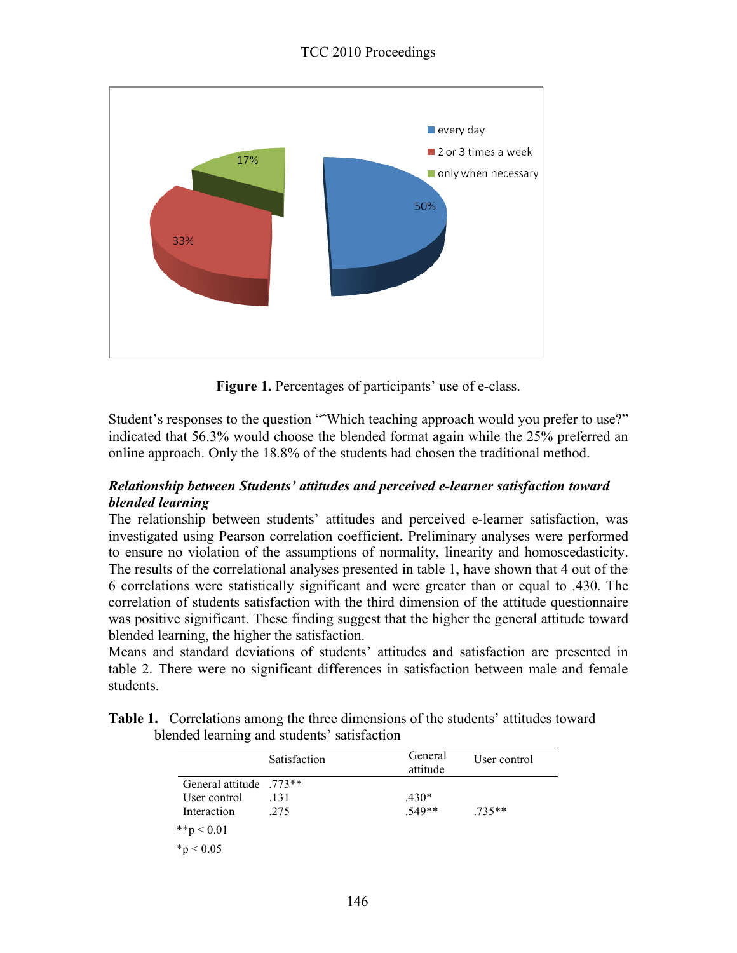

**Figure 1.** Percentages of participants' use of e-class.

Student's responses to the question "
"Which teaching approach would you prefer to use?" indicated that 56.3% would choose the blended format again while the 25% preferred an online approach. Only the 18.8% of the students had chosen the traditional method.

### *Relationship between Students' attitudes and perceived e-learner satisfaction toward blended learning*

The relationship between students' attitudes and perceived e-learner satisfaction, was investigated using Pearson correlation coefficient. Preliminary analyses were performed to ensure no violation of the assumptions of normality, linearity and homoscedasticity. The results of the correlational analyses presented in table 1, have shown that 4 out of the 6 correlations were statistically significant and were greater than or equal to .430. The correlation of students satisfaction with the third dimension of the attitude questionnaire was positive significant. These finding suggest that the higher the general attitude toward blended learning, the higher the satisfaction.

Means and standard deviations of students' attitudes and satisfaction are presented in table 2. There were no significant differences in satisfaction between male and female students.

|                           | Satisfaction | General<br>attitude | User control |
|---------------------------|--------------|---------------------|--------------|
| General attitude $.773**$ |              |                     |              |
| User control              | .131         | $.430*$             |              |
| Interaction               | .275         | $.549**$            | 735**        |
| **p < 0.01                |              |                     |              |
| $*_{p}$ < 0.05            |              |                     |              |

**Table 1.** Correlations among the three dimensions of the students' attitudes toward blended learning and students' satisfaction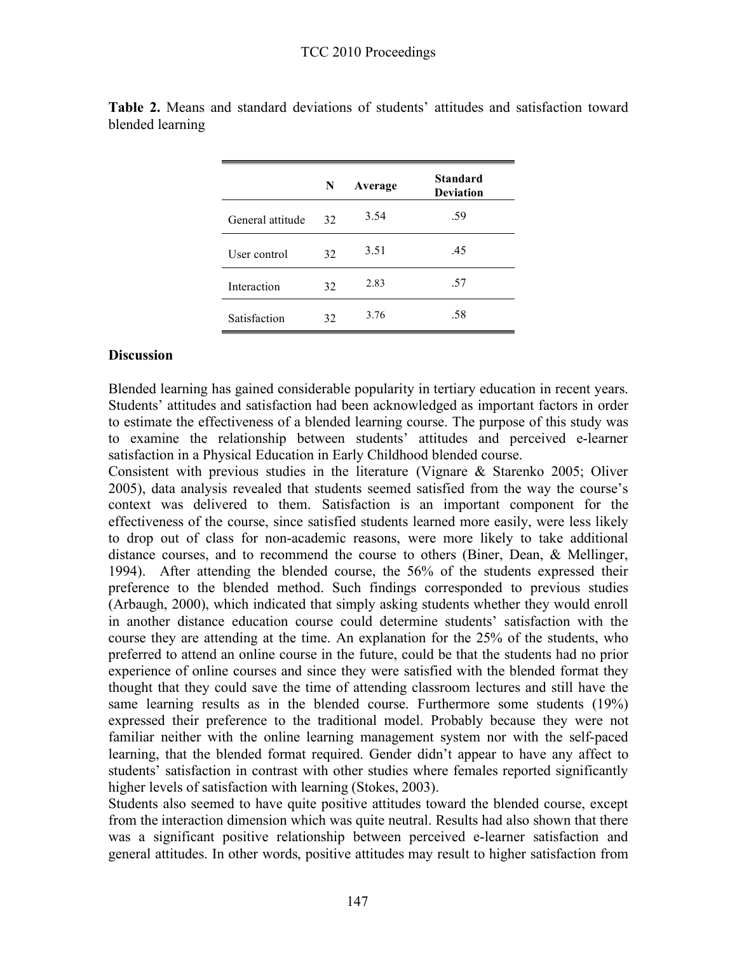|                  | N  | Average | <b>Standard</b><br><b>Deviation</b> |
|------------------|----|---------|-------------------------------------|
| General attitude | 32 | 3.54    | .59                                 |
| User control     | 32 | 3.51    | .45                                 |
| Interaction      | 32 | 2.83    | .57                                 |
| Satisfaction     | 32 | 3.76    | .58                                 |

**Table 2.** Means and standard deviations of students' attitudes and satisfaction toward blended learning

#### **Discussion**

Blended learning has gained considerable popularity in tertiary education in recent years. Students' attitudes and satisfaction had been acknowledged as important factors in order to estimate the effectiveness of a blended learning course. The purpose of this study was to examine the relationship between students' attitudes and perceived e-learner satisfaction in a Physical Education in Early Childhood blended course.

Consistent with previous studies in the literature (Vignare & Starenko 2005; Oliver 2005), data analysis revealed that students seemed satisfied from the way the course's context was delivered to them. Satisfaction is an important component for the effectiveness of the course, since satisfied students learned more easily, were less likely to drop out of class for non-academic reasons, were more likely to take additional distance courses, and to recommend the course to others (Biner, Dean, & Mellinger, 1994). After attending the blended course, the 56% of the students expressed their preference to the blended method. Such findings corresponded to previous studies (Arbaugh, 2000), which indicated that simply asking students whether they would enroll in another distance education course could determine students' satisfaction with the course they are attending at the time. An explanation for the 25% of the students, who preferred to attend an online course in the future, could be that the students had no prior experience of online courses and since they were satisfied with the blended format they thought that they could save the time of attending classroom lectures and still have the same learning results as in the blended course. Furthermore some students (19%) expressed their preference to the traditional model. Probably because they were not familiar neither with the online learning management system nor with the self-paced learning, that the blended format required. Gender didn't appear to have any affect to students' satisfaction in contrast with other studies where females reported significantly higher levels of satisfaction with learning (Stokes, 2003).

Students also seemed to have quite positive attitudes toward the blended course, except from the interaction dimension which was quite neutral. Results had also shown that there was a significant positive relationship between perceived e-learner satisfaction and general attitudes. In other words, positive attitudes may result to higher satisfaction from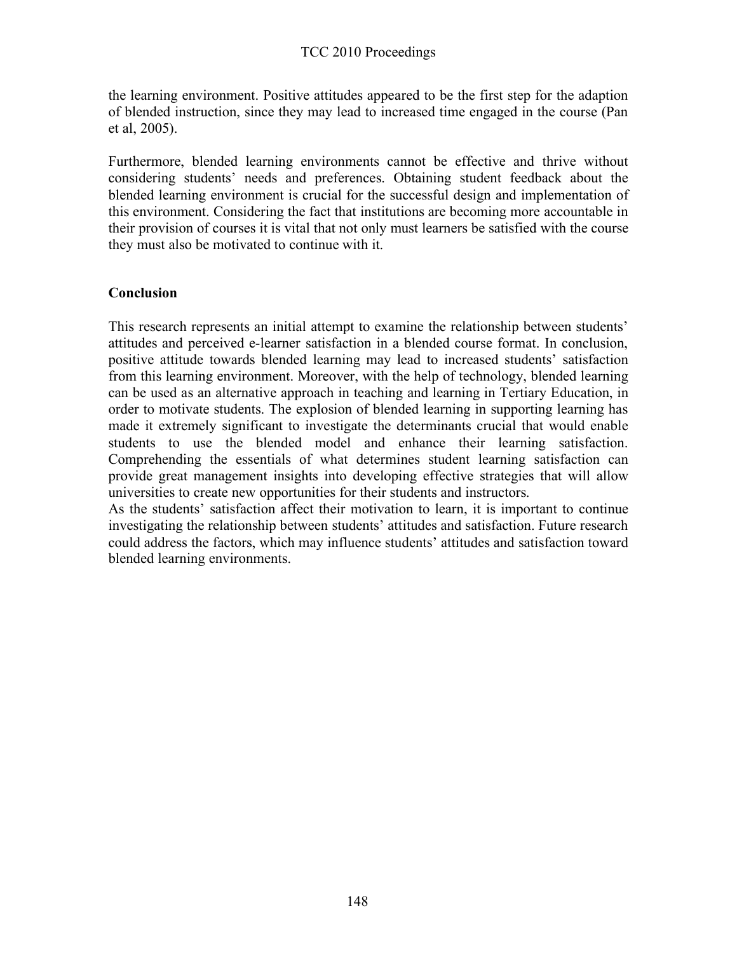the learning environment. Positive attitudes appeared to be the first step for the adaption of blended instruction, since they may lead to increased time engaged in the course (Pan et al, 2005).

Furthermore, blended learning environments cannot be effective and thrive without considering students' needs and preferences. Obtaining student feedback about the blended learning environment is crucial for the successful design and implementation of this environment. Considering the fact that institutions are becoming more accountable in their provision of courses it is vital that not only must learners be satisfied with the course they must also be motivated to continue with it.

#### **Conclusion**

This research represents an initial attempt to examine the relationship between students' attitudes and perceived e-learner satisfaction in a blended course format. In conclusion, positive attitude towards blended learning may lead to increased students' satisfaction from this learning environment. Moreover, with the help of technology, blended learning can be used as an alternative approach in teaching and learning in Tertiary Education, in order to motivate students. The explosion of blended learning in supporting learning has made it extremely significant to investigate the determinants crucial that would enable students to use the blended model and enhance their learning satisfaction. Comprehending the essentials of what determines student learning satisfaction can provide great management insights into developing effective strategies that will allow universities to create new opportunities for their students and instructors.

As the students' satisfaction affect their motivation to learn, it is important to continue investigating the relationship between students' attitudes and satisfaction. Future research could address the factors, which may influence students' attitudes and satisfaction toward blended learning environments.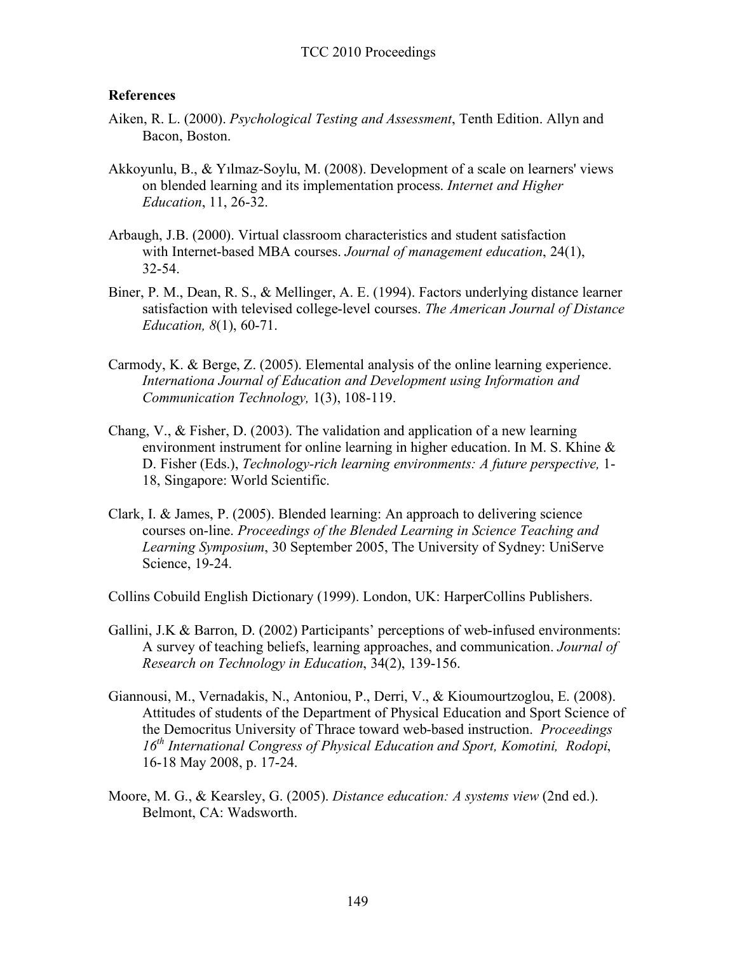#### **References**

- Aiken, R. L. (2000). *Psychological Testing and Assessment*, Tenth Edition. Allyn and Bacon, Boston.
- Akkoyunlu, B., & Yılmaz-Soylu, M. (2008). Development of a scale on learners' views on blended learning and its implementation process. *Internet and Higher Education*, 11, 26-32.
- Arbaugh, J.B. (2000). Virtual classroom characteristics and student satisfaction with Internet-based MBA courses. *Journal of management education*, 24(1), 32-54.
- Biner, P. M., Dean, R. S., & Mellinger, A. E. (1994). Factors underlying distance learner satisfaction with televised college-level courses. *The American Journal of Distance Education, 8*(1), 60-71.
- Carmody, K. & Berge, Z. (2005). Elemental analysis of the online learning experience. *Internationa Journal of Education and Development using Information and Communication Technology,* 1(3), 108-119.
- Chang, V., & Fisher, D. (2003). The validation and application of a new learning environment instrument for online learning in higher education. In M. S. Khine & D. Fisher (Eds.), *Technology-rich learning environments: A future perspective,* 1- 18, Singapore: World Scientific.
- Clark, I. & James, P. (2005). Blended learning: An approach to delivering science courses on-line. *Proceedings of the Blended Learning in Science Teaching and Learning Symposium*, 30 September 2005, The University of Sydney: UniServe Science, 19-24.

Collins Cobuild English Dictionary (1999). London, UK: HarperCollins Publishers.

- Gallini, J.K & Barron, D. (2002) Participants' perceptions of web-infused environments: A survey of teaching beliefs, learning approaches, and communication. *Journal of Research on Technology in Education*, 34(2), 139-156.
- Giannousi, M., Vernadakis, N., Antoniou, P., Derri, V., & Kioumourtzoglou, E. (2008). Attitudes of students of the Department of Physical Education and Sport Science of the Democritus University of Thrace toward web-based instruction. *Proceedings 16th International Congress of Physical Education and Sport, Komotini, Rodopi*, 16-18 May 2008, p. 17-24.
- Moore, M. G., & Kearsley, G. (2005). *Distance education: A systems view* (2nd ed.). Belmont, CA: Wadsworth.